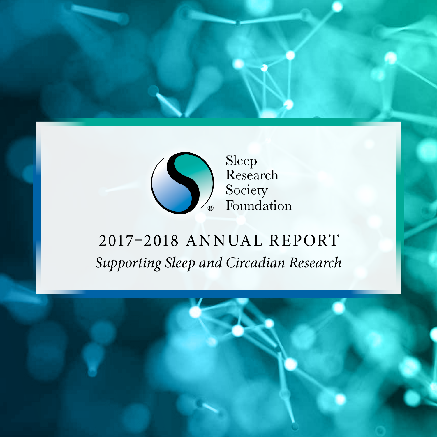



Sleep Research Society Foundation

# 2017–2018 ANNUAL REPORT *Supporting Sleep and Circadian Research*

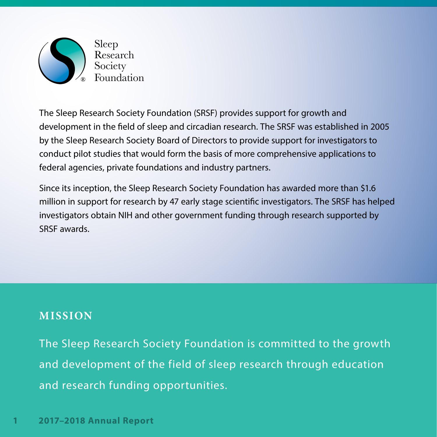

The Sleep Research Society Foundation (SRSF) provides support for growth and development in the field of sleep and circadian research. The SRSF was established in 2005 by the Sleep Research Society Board of Directors to provide support for investigators to conduct pilot studies that would form the basis of more comprehensive applications to federal agencies, private foundations and industry partners.

Since its inception, the Sleep Research Society Foundation has awarded more than \$1.6 million in support for research by 47 early stage scientific investigators. The SRSF has helped investigators obtain NIH and other government funding through research supported by SRSF awards.

## **MISSION**

The Sleep Research Society Foundation is committed to the growth and development of the field of sleep research through education and research funding opportunities.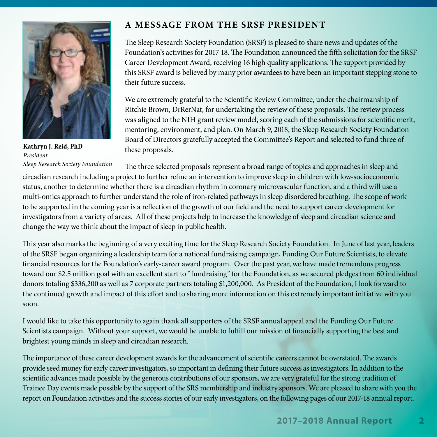

**Kathryn J. Reid, PhD** *President Sleep Research Society Foundation*

## **A MESSAGE FROM THE SRSF PRESIDENT**

The Sleep Research Society Foundation (SRSF) is pleased to share news and updates of the Foundation's activities for 2017-18. The Foundation announced the fifth solicitation for the SRSF Career Development Award, receiving 16 high quality applications. The support provided by this SRSF award is believed by many prior awardees to have been an important stepping stone to their future success.

We are extremely grateful to the Scientific Review Committee, under the chairmanship of Ritchie Brown, DrRerNat, for undertaking the review of these proposals. The review process was aligned to the NIH grant review model, scoring each of the submissions for scientific merit, mentoring, environment, and plan. On March 9, 2018, the Sleep Research Society Foundation Board of Directors gratefully accepted the Committee's Report and selected to fund three of these proposals.

The three selected proposals represent a broad range of topics and approaches in sleep and

circadian research including a project to further refine an intervention to improve sleep in children with low-socioeconomic status, another to determine whether there is a circadian rhythm in coronary microvascular function, and a third will use a multi-omics approach to further understand the role of iron-related pathways in sleep disordered breathing. The scope of work to be supported in the coming year is a reflection of the growth of our field and the need to support career development for investigators from a variety of areas. All of these projects help to increase the knowledge of sleep and circadian science and change the way we think about the impact of sleep in public health.

This year also marks the beginning of a very exciting time for the Sleep Research Society Foundation. In June of last year, leaders of the SRSF began organizing a leadership team for a national fundraising campaign, Funding Our Future Scientists, to elevate financial resources for the Foundation's early-career award program. Over the past year, we have made tremendous progress toward our \$2.5 million goal with an excellent start to "fundraising" for the Foundation, as we secured pledges from 60 individual donors totaling \$336,200 as well as 7 corporate partners totaling \$1,200,000. As President of the Foundation, I look forward to the continued growth and impact of this effort and to sharing more information on this extremely important initiative with you soon.

I would like to take this opportunity to again thank all supporters of the SRSF annual appeal and the Funding Our Future Scientists campaign. Without your support, we would be unable to fulfill our mission of financially supporting the best and brightest young minds in sleep and circadian research.

The importance of these career development awards for the advancement of scientific careers cannot be overstated. The awards provide seed money for early career investigators, so important in defining their future success as investigators. In addition to the scientific advances made possible by the generous contributions of our sponsors, we are very grateful for the strong tradition of Trainee Day events made possible by the support of the SRS membership and industry sponsors. We are pleased to share with you the report on Foundation activities and the success stories of our early investigators, on the following pages of our 2017-18 annual report.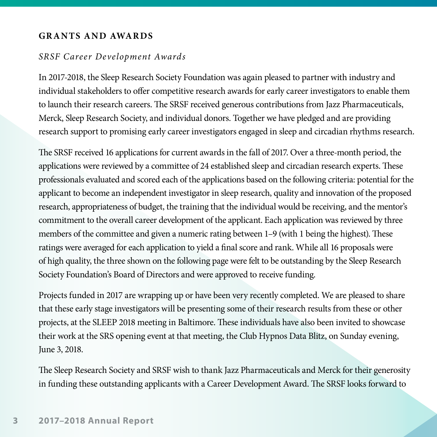## **GR ANTS AND AWAR DS**

### *SRSF Career Development Awards*

In 2017-2018, the Sleep Research Society Foundation was again pleased to partner with industry and individual stakeholders to offer competitive research awards for early career investigators to enable them to launch their research careers. The SRSF received generous contributions from Jazz Pharmaceuticals, Merck, Sleep Research Society, and individual donors. Together we have pledged and are providing research support to promising early career investigators engaged in sleep and circadian rhythms research.

The SRSF received 16 applications for current awards in the fall of 2017. Over a three-month period, the applications were reviewed by a committee of 24 established sleep and circadian research experts. These professionals evaluated and scored each of the applications based on the following criteria: potential for the applicant to become an independent investigator in sleep research, quality and innovation of the proposed research, appropriateness of budget, the training that the individual would be receiving, and the mentor's commitment to the overall career development of the applicant. Each application was reviewed by three members of the committee and given a numeric rating between 1–9 (with 1 being the highest). These ratings were averaged for each application to yield a final score and rank. While all 16 proposals were of high quality, the three shown on the following page were felt to be outstanding by the Sleep Research Society Foundation's Board of Directors and were approved to receive funding.

Projects funded in 2017 are wrapping up or have been very recently completed. We are pleased to share that these early stage investigators will be presenting some of their research results from these or other projects, at the SLEEP 2018 meeting in Baltimore. These individuals have also been invited to showcase their work at the SRS opening event at that meeting, the Club Hypnos Data Blitz, on Sunday evening, June 3, 2018.

The Sleep Research Society and SRSF wish to thank Jazz Pharmaceuticals and Merck for their generosity in funding these outstanding applicants with a Career Development Award. The SRSF looks forward to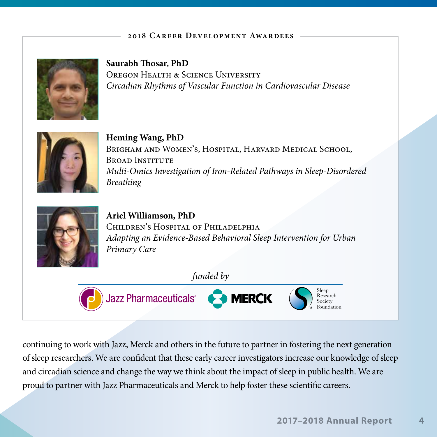### **2018 Career Development Awardees**



**Saurabh Thosar, PhD** OREGON HEALTH & SCIENCE UNIVERSITY *Circadian Rhythms of Vascular Function in Cardiovascular Disease*



**Heming Wang, PhD** Brigham and Women's, Hospital, Harvard Medical School, BROAD INSTITUTE *Multi-Omics Investigation of Iron-Related Pathways in Sleep-Disordered Breathing*



**Ariel Williamson, PhD** Children's Hospital of Philadelphia *Adapting an Evidence-Based Behavioral Sleep Intervention for Urban Primary Care*

*funded by*



**B** MERCK

Sleep Research Society Foundation

continuing to work with Jazz, Merck and others in the future to partner in fostering the next generation of sleep researchers. We are confident that these early career investigators increase our knowledge of sleep and circadian science and change the way we think about the impact of sleep in public health. We are proud to partner with Jazz Pharmaceuticals and Merck to help foster these scientific careers.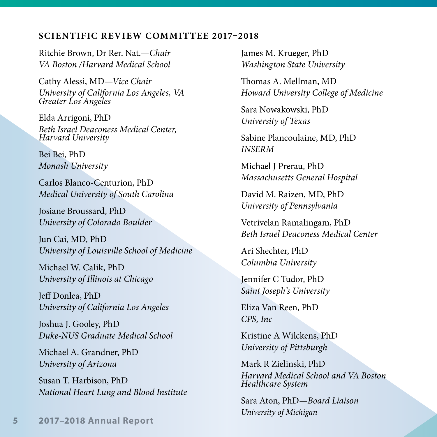#### **SCIENTIFIC REVIEW COMMITTEE 2017–2018**

Ritchie Brown, Dr Rer. Nat.—*Chair VA Boston /Harvard Medical School* 

Cathy Alessi, MD—*Vice Chair University of California Los Angeles, VA Greater Los Angeles* 

Elda Arrigoni, PhD *Beth Israel Deaconess Medical Center, Harvard University*

Bei Bei, PhD *Monash University* 

Carlos Blanco-Centurion, PhD *Medical University of South Carolina*

Josiane Broussard, PhD *University of Colorado Boulder*

Jun Cai, MD, PhD *University of Louisville School of Medicine* 

Michael W. Calik, PhD *University of Illinois at Chicago*

Jeff Donlea, PhD *University of California Los Angeles*

Joshua J. Gooley, PhD *Duke-NUS Graduate Medical School* 

Michael A. Grandner, PhD *University of Arizona*

Susan T. Harbison, PhD *National Heart Lung and Blood Institute* James M. Krueger, PhD *Washington State University*

Thomas A. Mellman, MD *Howard University College of Medicine* 

Sara Nowakowski, PhD *University of Texas* 

Sabine Plancoulaine, MD, PhD *INSERM* 

Michael J Prerau, PhD *Massachusetts General Hospital*

David M. Raizen, MD, PhD *University of Pennsylvania*

Vetrivelan Ramalingam, PhD *Beth Israel Deaconess Medical Center*

Ari Shechter, PhD *Columbia University*

Jennifer C Tudor, PhD *Saint Joseph's University*

Eliza Van Reen, PhD *CPS, Inc*

Kristine A Wilckens, PhD *University of Pittsburgh* 

Mark R Zielinski, PhD *Harvard Medical School and VA Boston Healthcare System*

Sara Aton, PhD—*Board Liaison University of Michigan*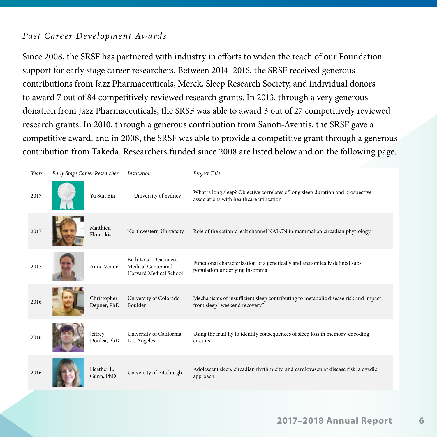## *Past Career Development Awards*

Since 2008, the SRSF has partnered with industry in efforts to widen the reach of our Foundation support for early stage career researchers. Between 2014–2016, the SRSF received generous contributions from Jazz Pharmaceuticals, Merck, Sleep Research Society, and individual donors to award 7 out of 84 competitively reviewed research grants. In 2013, through a very generous donation from Jazz Pharmaceuticals, the SRSF was able to award 3 out of 27 competitively reviewed research grants. In 2010, through a generous contribution from Sanofi-Aventis, the SRSF gave a competitive award, and in 2008, the SRSF was able to provide a competitive grant through a generous contribution from Takeda. Researchers funded since 2008 are listed below and on the following page.

| Years | Early Stage Career Researcher |                            | Institution                                                                  | Project Title                                                                                                               |
|-------|-------------------------------|----------------------------|------------------------------------------------------------------------------|-----------------------------------------------------------------------------------------------------------------------------|
| 2017  |                               | Yu Sun Bin                 | University of Sydney                                                         | What is long sleep? Objective correlates of long sleep duration and prospective<br>associations with healthcare utilization |
| 2017  |                               | Matthieu<br>Flourakis      | Northwestern University                                                      | Role of the cationic leak channel NALCN in mammalian circadian physiology                                                   |
| 2017  |                               | Anne Venner                | <b>Beth Israel Deaconess</b><br>Medical Center and<br>Harvard Medical School | Functional characterization of a genetically and anatomically defined sub-<br>population underlying insomnia                |
| 2016  |                               | Christopher<br>Depner, PhD | University of Colorado<br>Boulder                                            | Mechanisms of insufficient sleep contributing to metabolic disease risk and impact<br>from sleep "weekend recovery"         |
| 2016  |                               | Jeffrey<br>Donlea, PhD     | University of California<br>Los Angeles                                      | Using the fruit fly to identify consequences of sleep loss in memory-encoding<br>circuits                                   |
| 2016  |                               | Heather E.<br>Gunn, PhD    | University of Pittsburgh                                                     | Adolescent sleep, circadian rhythmicity, and cardiovascular disease risk: a dyadic<br>approach                              |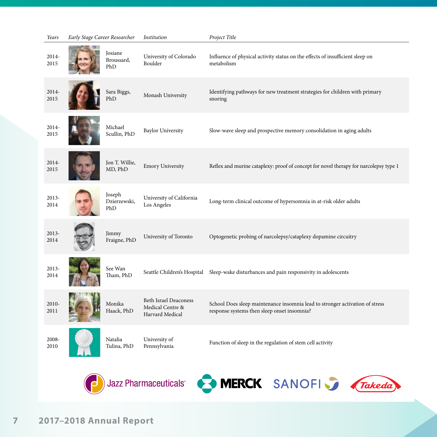| Years         | Early Stage Career Researcher |                               | Institution                                                         | Project Title                                                                                                               |
|---------------|-------------------------------|-------------------------------|---------------------------------------------------------------------|-----------------------------------------------------------------------------------------------------------------------------|
| 2014-<br>2015 |                               | Josiane<br>Broussard,<br>PhD  | University of Colorado<br>Boulder                                   | Influence of physical activity status on the effects of insufficient sleep on<br>metabolism                                 |
| 2014-<br>2015 |                               | Sara Biggs,<br>PhD            | Monash University                                                   | Identifying pathways for new treatment strategies for children with primary<br>snoring                                      |
| 2014-<br>2015 |                               | Michael<br>Scullin, PhD       | <b>Baylor University</b>                                            | Slow-wave sleep and prospective memory consolidation in aging adults                                                        |
| 2014-<br>2015 |                               | Jon T. Willie,<br>MD, PhD     | <b>Emory University</b>                                             | Reflex and murine cataplexy: proof of concept for novel therapy for narcolepsy type 1                                       |
| 2013-<br>2014 |                               | Joseph<br>Dzierzewski,<br>PhD | University of California<br>Los Angeles                             | Long-term clinical outcome of hypersomnia in at-risk older adults                                                           |
| 2013-<br>2014 |                               | Jimmy<br>Fraigne, PhD         | University of Toronto                                               | Optogenetic probing of narcolepsy/cataplexy dopamine circuitry                                                              |
| 2013-<br>2014 |                               | See Wan<br>Tham, PhD          | Seattle Children's Hospital                                         | Sleep-wake disturbances and pain responsivity in adolescents                                                                |
| 2010-<br>2011 |                               | Monika<br>Haack, PhD          | <b>Beth Israel Deaconess</b><br>Medical Centre &<br>Harvard Medical | School Does sleep maintenance insomnia lead to stronger activation of stress<br>response systems then sleep onset insomnia? |
| 2008-<br>2010 |                               | Natalia<br>Tulina, PhD        | University of<br>Pennsylvania                                       | Function of sleep in the regulation of stem cell activity                                                                   |
|               |                               |                               | Jazz Pharmaceuticals <sup>®</sup>                                   | <b>MERCK SANOFI</b><br><i><b>Takedi</b></i>                                                                                 |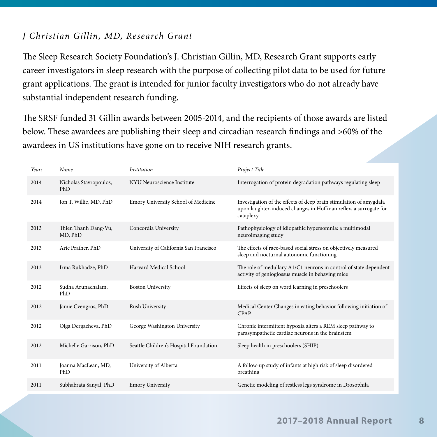## *J Christian Gillin, MD, Research Grant*

The Sleep Research Society Foundation's J. Christian Gillin, MD, Research Grant supports early career investigators in sleep research with the purpose of collecting pilot data to be used for future grant applications. The grant is intended for junior faculty investigators who do not already have substantial independent research funding.

The SRSF funded 31 Gillin awards between 2005-2014, and the recipients of those awards are listed below. These awardees are publishing their sleep and circadian research findings and >60% of the awardees in US institutions have gone on to receive NIH research grants.

| Years | Name                            | Institution                            | Project Title                                                                                                                                       |
|-------|---------------------------------|----------------------------------------|-----------------------------------------------------------------------------------------------------------------------------------------------------|
| 2014  | Nicholas Stavropoulos,<br>PhD   | NYU Neuroscience Institute             | Interrogation of protein degradation pathways regulating sleep                                                                                      |
| 2014  | Jon T. Willie, MD, PhD          | Emory University School of Medicine    | Investigation of the effects of deep brain stimulation of amygdala<br>upon laughter-induced changes in Hoffman reflex, a surrogate for<br>cataplexy |
| 2013  | Thien Thanh Dang-Vu,<br>MD, PhD | Concordia University                   | Pathophysiology of idiopathic hypersomnia: a multimodal<br>neuroimaging study                                                                       |
| 2013  | Aric Prather, PhD               | University of California San Francisco | The effects of race-based social stress on objectively measured<br>sleep and nocturnal autonomic functioning                                        |
| 2013  | Irma Rukhadze, PhD              | Harvard Medical School                 | The role of medullary A1/C1 neurons in control of state dependent<br>activity of genioglossus muscle in behaving mice                               |
| 2012  | Sudha Arunachalam.<br>PhD       | <b>Boston University</b>               | Effects of sleep on word learning in preschoolers                                                                                                   |
| 2012  | Jamie Cvengros, PhD             | Rush University                        | Medical Center Changes in eating behavior following initiation of<br>CPAP                                                                           |
| 2012  | Olga Dergacheva, PhD            | George Washington University           | Chronic intermittent hypoxia alters a REM sleep pathway to<br>parasympathetic cardiac neurons in the brainstem                                      |
| 2012  | Michelle Garrison, PhD          | Seattle Children's Hospital Foundation | Sleep health in preschoolers (SHIP)                                                                                                                 |
| 2011  | Joanna MacLean, MD,<br>PhD      | University of Alberta                  | A follow-up study of infants at high risk of sleep disordered<br>breathing                                                                          |
| 2011  | Subhabrata Sanyal, PhD          | <b>Emory University</b>                | Genetic modeling of restless legs syndrome in Drosophila                                                                                            |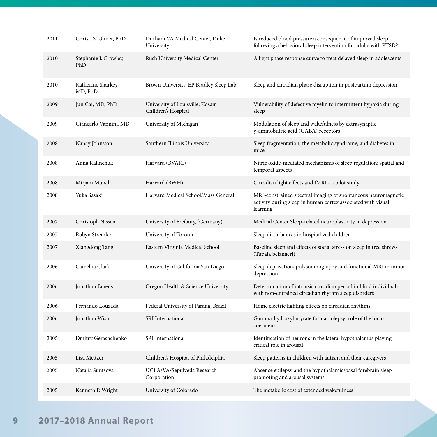| 2011 | Christi S. Ulmer, PhD         | Durham VA Medical Center, Duke<br>University            | Is reduced blood pressure a consequence of improved sleep<br>following a behavioral sleep intervention for adults with PTSD?              |
|------|-------------------------------|---------------------------------------------------------|-------------------------------------------------------------------------------------------------------------------------------------------|
| 2010 | Stephanie J. Crowley,<br>PhD  | Rush University Medical Center                          | A light phase response curve to treat delayed sleep in adolescents                                                                        |
| 2010 | Katherine Sharkey,<br>MD, PhD | Brown University, EP Bradley Sleep Lab                  | Sleep and circadian phase disruption in postpartum depression                                                                             |
| 2009 | Jun Cai, MD, PhD              | University of Louisville, Kosair<br>Children's Hospital | Vulnerability of defective myelin to intermittent hypoxia during<br>sleep                                                                 |
| 2009 | Giancarlo Vannini, MD         | University of Michigan                                  | Modulation of sleep and wakefulness by extrasynaptic<br>y-aminobutric acid (GABA) receptors                                               |
| 2008 | Nancy Johnston                | Southern Illinois University                            | Sleep fragmentation, the metabolic syndrome, and diabetes in<br>mice                                                                      |
| 2008 | Anna Kalinchuk                | Harvard (BVARI)                                         | Nitric oxide-mediated mechanisms of sleep regulation: spatial and<br>temporal aspects                                                     |
| 2008 | Mirjam Munch                  | Harvard (BWH)                                           | Circadian light effects and fMRI - a pilot study                                                                                          |
| 2008 | Yuka Sasaki                   | Harvard Medical School/Mass General                     | MRI-constrained spectral imaging of spontaneous neuromagnetic<br>activity during sleep in human cortex associated with visual<br>learning |
| 2007 | Christoph Nissen              | University of Freiburg (Germany)                        | Medical Center Sleep-related neuroplasticity in depression                                                                                |
| 2007 | Robyn Stremler                | University of Toronto                                   | Sleep disturbances in hospitalized children                                                                                               |
| 2007 | Xiangdong Tang                | Eastern Virginia Medical School                         | Baseline sleep and effects of social stress on sleep in tree shrews<br>(Tupaia belangeri)                                                 |
| 2006 |                               |                                                         |                                                                                                                                           |
|      | Camellia Clark                | University of California San Diego                      | Sleep deprivation, polysomnography and functional MRI in minor<br>depression                                                              |
| 2006 | Jonathan Emens                | Oregon Health & Science University                      | Determination of intrinsic circadian period in blind individuals<br>with non-entrained circadian rhythm sleep disorders                   |
| 2006 | Fernando Louzada              | Federal University of Parana, Brazil                    | Home electric lighting effects on circadian rhythms                                                                                       |
| 2006 | Jonathan Wisor                | <b>SRI</b> International                                | Gamma-hydroxybutyrate for narcolepsy: role of the locus<br>coeruleus                                                                      |
| 2005 | Dmitry Gerashchenko           | SRI International                                       | Identification of neurons in the lateral hypothalamus playing<br>critical role in arousal                                                 |
| 2005 | Lisa Meltzer                  | Children's Hospital of Philadelphia                     | Sleep patterns in children with autism and their caregivers                                                                               |
| 2005 | Natalia Suntsova              | UCLA/VA/Sepulveda Research<br>Corporation               | Absence epilepsy and the hypothalamic/basal forebrain sleep<br>promoting and arousal systems                                              |
| 2005 | Kenneth P. Wright             | University of Colorado                                  | The metabolic cost of extended wakefulness                                                                                                |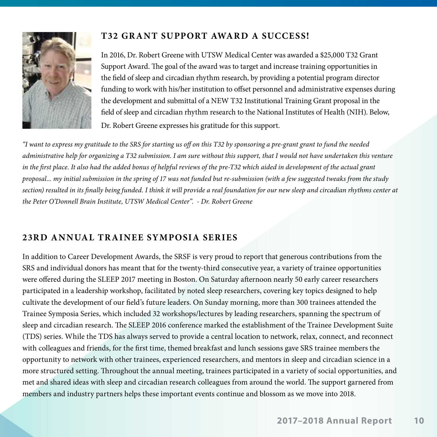

## **T32 GR ANT SUPPORT AWAR D A SUCCESS!**

In 2016, Dr. Robert Greene with UTSW Medical Center was awarded a \$25,000 T32 Grant Support Award. The goal of the award was to target and increase training opportunities in the field of sleep and circadian rhythm research, by providing a potential program director funding to work with his/her institution to offset personnel and administrative expenses during the development and submittal of a NEW T32 Institutional Training Grant proposal in the field of sleep and circadian rhythm research to the National Institutes of Health (NIH). Below, Dr. Robert Greene expresses his gratitude for this support.

*"I want to express my gratitude to the SRS for starting us off on this T32 by sponsoring a pre-grant grant to fund the needed administrative help for organizing a T32 submission. I am sure without this support, that I would not have undertaken this venture in the first place. It also had the added bonus of helpful reviews of the pre-T32 which aided in development of the actual grant proposal... my initial submission in the spring of 17 was not funded but re-submission (with a few suggested tweaks from the study section) resulted in its finally being funded. I think it will provide a real foundation for our new sleep and circadian rhythms center at the Peter O'Donnell Brain Institute, UTSW Medical Center". - Dr. Robert Greene*

## **23RD ANNUAL TRAINEE SYMPOSIA SERIES**

In addition to Career Development Awards, the SRSF is very proud to report that generous contributions from the SRS and individual donors has meant that for the twenty-third consecutive year, a variety of trainee opportunities were offered during the SLEEP 2017 meeting in Boston. On Saturday afternoon nearly 50 early career researchers participated in a leadership workshop, facilitated by noted sleep researchers, covering key topics designed to help cultivate the development of our field's future leaders. On Sunday morning, more than 300 trainees attended the Trainee Symposia Series, which included 32 workshops/lectures by leading researchers, spanning the spectrum of sleep and circadian research. The SLEEP 2016 conference marked the establishment of the Trainee Development Suite (TDS) series. While the TDS has always served to provide a central location to network, relax, connect, and reconnect with colleagues and friends, for the first time, themed breakfast and lunch sessions gave SRS trainee members the opportunity to network with other trainees, experienced researchers, and mentors in sleep and circadian science in a more structured setting. Throughout the annual meeting, trainees participated in a variety of social opportunities, and met and shared ideas with sleep and circadian research colleagues from around the world. The support garnered from members and industry partners helps these important events continue and blossom as we move into 2018.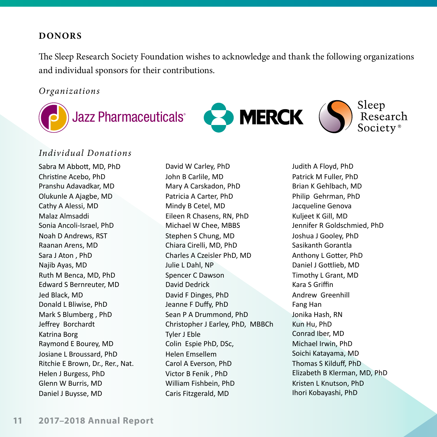#### **DONORS**

The Sleep Research Society Foundation wishes to acknowledge and thank the following organizations and individual sponsors for their contributions.

**B** MERCK

#### *Organizations*



## *Individual Donations*

Sabra M Abbott, MD, PhD Christine Acebo, PhD Pranshu Adavadkar, MD Olukunle A Ajagbe, MD Cathy A Alessi, MD Malaz Almsaddi Sonia Ancoli-Israel, PhD Noah D Andrews, RST Raanan Arens, MD Sara J Aton , PhD Najib Ayas, MD Ruth M Benca, MD, PhD Edward S Bernreuter, MD Jed Black, MD Donald L Bliwise, PhD Mark S Blumberg , PhD Jeffrey Borchardt Katrina Borg Raymond E Bourey, MD Josiane L Broussard, PhD Ritchie E Brown, Dr., Rer., Nat. Helen J Burgess, PhD Glenn W Burris, MD Daniel J Buysse, MD

David W Carley, PhD John B Carlile, MD Mary A Carskadon, PhD Patricia A Carter, PhD Mindy B Cetel, MD Eileen R Chasens, RN, PhD Michael W Chee, MBBS Stephen S Chung, MD Chiara Cirelli, MD, PhD Charles A Czeisler PhD, MD Julie L Dahl, NP Spencer C Dawson David Dedrick David F Dinges, PhD Jeanne F Duffy, PhD Sean P A Drummond, PhD Christopher J Earley, PhD, MBBCh Tyler J Eble Colin Espie PhD, DSc, Helen Emsellem Carol A Everson, PhD Victor B Fenik , PhD William Fishbein, PhD Caris Fitzgerald, MD

Judith A Floyd, PhD Patrick M Fuller, PhD Brian K Gehlbach, MD Philip Gehrman, PhD Jacqueline Genova Kuljeet K Gill, MD Jennifer R Goldschmied, PhD Joshua J Gooley, PhD Sasikanth Gorantla Anthony L Gotter, PhD Daniel J Gottlieb, MD Timothy L Grant, MD Kara S Griffin Andrew Greenhill Fang Han Jonika Hash, RN Kun Hu, PhD Conrad Iber, MD Michael Irwin, PhD Soichi Katayama, MD Thomas S Kilduff, PhD Elizabeth B Klerman, MD, PhD Kristen L Knutson, PhD Ihori Kobayashi, PhD

Sleep

Research Society<sup>®</sup>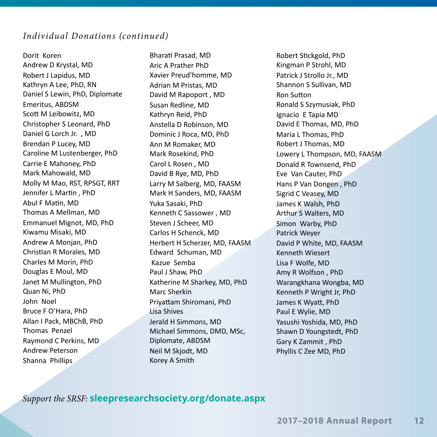## *Individual Donations (continued)*

Dorit Koren Andrew D Krystal, MD Robert J Lapidus, MD Kathryn A Lee, PhD, RN Daniel S Lewin, PhD, Diplomate Emeritus, ABDSM Scott M Leibowitz, MD Christopher S Leonard, PhD Daniel G Lorch Jr. , MD Brendan P Lucey, MD Caroline M Lustenberger, PhD Carrie E Mahoney, PhD Mark Mahowald, MD Molly M Mao, RST, RPSGT, RRT Jennifer L Martin , PhD Abul F Matin, MD Thomas A Mellman, MD Emmanuel Mignot, MD, PhD Kiwamu Misaki, MD Andrew A Monjan, PhD Christian R Morales, MD Charles M Morin, PhD Douglas E Moul, MD Janet M Mullington, PhD Quan Ni, PhD John Noel Bruce F O'Hara, PhD Allan I Pack, MBChB, PhD Thomas Penzel Raymond C Perkins, MD Andrew Peterson Shanna Phillips

Bharati Prasad, MD Aric A Prather PhD Xavier Preud'homme, MD Adrian M Pristas, MD David M Rapoport , MD Susan Redline, MD Kathryn Reid, PhD Anstella D Robinson, MD Dominic J Roca, MD, PhD Ann M Romaker, MD Mark Rosekind, PhD Carol L Rosen , MD David B Rye, MD, PhD Larry M Salberg, MD, FAASM Mark H Sanders, MD, FAASM Yuka Sasaki, PhD Kenneth C Sassower , MD Steven J Scheer, MD Carlos H Schenck, MD Herbert H Scherzer, MD, FAASM Edward Schuman, MD Kazue Semba Paul J Shaw, PhD Katherine M Sharkey, MD, PhD Marc Sherkin Priyattam Shiromani, PhD Lisa Shives Jerald H Simmons, MD Michael Simmons, DMD, MSc, Diplomate, ABDSM Neil M Skjodt, MD Korey A Smith

Robert Stickgold, PhD Kingman P Strohl, MD Patrick J Strollo Jr., MD Shannon S Sullivan, MD Ron Sutton Ronald S Szymusiak, PhD Ignacio E Tapia MD David E Thomas, MD, PhD Maria L Thomas, PhD Robert J Thomas, MD Lowery L Thompson, MD, FAASM Donald R Townsend, PhD Eve Van Cauter, PhD Hans P Van Dongen , PhD Sigrid C Veasey, MD James K Walsh, PhD Arthur S Walters, MD Simon Warby, PhD Patrick Weyer David P White, MD, FAASM Kenneth Wiesert Lisa F Wolfe, MD Amy R Wolfson , PhD Warangkhana Wongba, MD Kenneth P Wright Jr, PhD James K Wyatt, PhD Paul E Wylie, MD Yasushi Yoshida, MD, PhD Shawn D Youngstedt, PhD Gary K Zammit , PhD Phyllis C Zee MD, PhD

## *Support the SRSF:* **sleepresearchsociety.org/donate.aspx**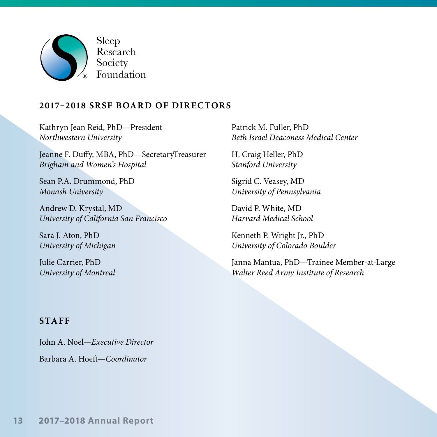

#### **2017–2018 SRSF BOARD OF DIRECTORS**

Kathryn Jean Reid, PhD—President *Northwestern University*

Jeanne F. Duffy, MBA, PhD—SecretaryTreasurer *Brigham and Women's Hospital*

Sean P.A. Drummond, PhD *Monash University*

Andrew D. Krystal, MD *University of California San Francisco*

Sara J. Aton, PhD *University of Michigan*

Julie Carrier, PhD *University of Montreal*

#### **STAFF**

John A. Noel—*Executive Director*

Barbara A. Hoeft—*Coordinator*

Patrick M. Fuller, PhD *Beth Israel Deaconess Medical Center*

H. Craig Heller, PhD *Stanford University*

Sigrid C. Veasey, MD *University of Pennsylvania*

David P. White, MD *Harvard Medical School*

Kenneth P. Wright Jr., PhD *University of Colorado Boulder*

Janna Mantua, PhD—Trainee Member-at-Large *Walter Reed Army Institute of Research*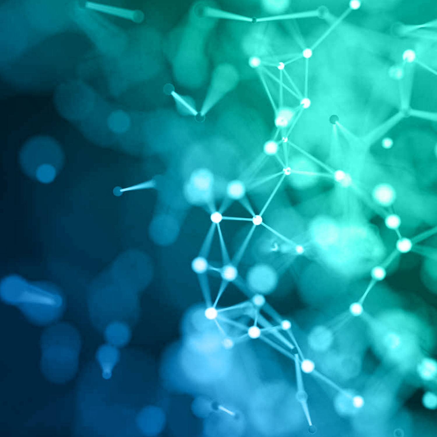